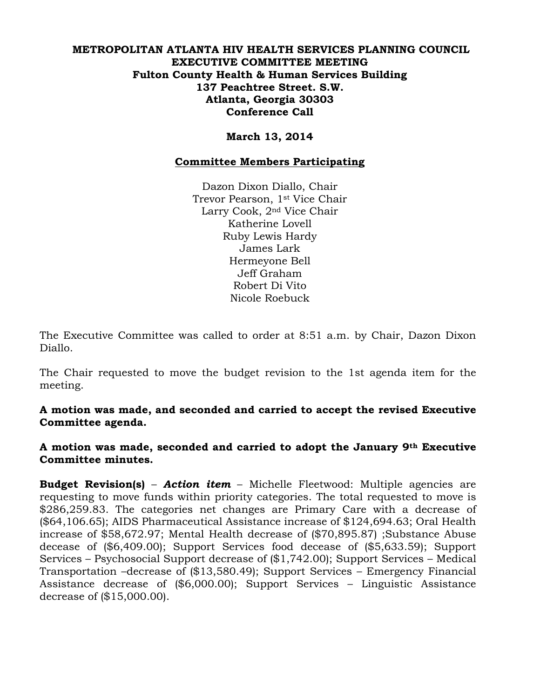### **METROPOLITAN ATLANTA HIV HEALTH SERVICES PLANNING COUNCIL EXECUTIVE COMMITTEE MEETING Fulton County Health & Human Services Building 137 Peachtree Street. S.W. Atlanta, Georgia 30303 Conference Call**

## **March 13, 2014**

#### **Committee Members Participating**

Dazon Dixon Diallo, Chair Trevor Pearson, 1st Vice Chair Larry Cook, 2nd Vice Chair Katherine Lovell Ruby Lewis Hardy James Lark Hermeyone Bell Jeff Graham Robert Di Vito Nicole Roebuck

The Executive Committee was called to order at 8:51 a.m. by Chair, Dazon Dixon Diallo.

The Chair requested to move the budget revision to the 1st agenda item for the meeting.

**A motion was made, and seconded and carried to accept the revised Executive Committee agenda.**

**A motion was made, seconded and carried to adopt the January 9th Executive Committee minutes.** 

**Budget Revision(s)** – *Action item* – Michelle Fleetwood: Multiple agencies are requesting to move funds within priority categories. The total requested to move is \$286,259.83. The categories net changes are Primary Care with a decrease of (\$64,106.65); AIDS Pharmaceutical Assistance increase of \$124,694.63; Oral Health increase of \$58,672.97; Mental Health decrease of (\$70,895.87) ;Substance Abuse decease of (\$6,409.00); Support Services food decease of (\$5,633.59); Support Services – Psychosocial Support decrease of (\$1,742.00); Support Services – Medical Transportation –decrease of (\$13,580.49); Support Services – Emergency Financial Assistance decrease of (\$6,000.00); Support Services – Linguistic Assistance decrease of (\$15,000.00).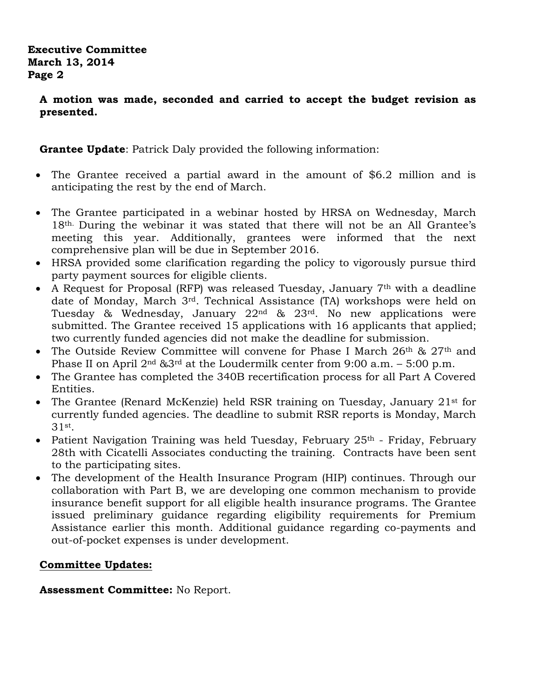## **Executive Committee March 13, 2014 Page 2**

**A motion was made, seconded and carried to accept the budget revision as presented.** 

**Grantee Update**: Patrick Daly provided the following information:

- The Grantee received a partial award in the amount of \$6.2 million and is anticipating the rest by the end of March.
- The Grantee participated in a webinar hosted by HRSA on Wednesday, March 18th. During the webinar it was stated that there will not be an All Grantee's meeting this year. Additionally, grantees were informed that the next comprehensive plan will be due in September 2016.
- HRSA provided some clarification regarding the policy to vigorously pursue third party payment sources for eligible clients.
- A Request for Proposal (RFP) was released Tuesday, January  $7<sup>th</sup>$  with a deadline date of Monday, March 3rd. Technical Assistance (TA) workshops were held on Tuesday & Wednesday, January 22nd & 23rd. No new applications were submitted. The Grantee received 15 applications with 16 applicants that applied; two currently funded agencies did not make the deadline for submission.
- The Outside Review Committee will convene for Phase I March  $26<sup>th</sup>$  &  $27<sup>th</sup>$  and Phase II on April  $2<sup>nd</sup>$  & $3<sup>rd</sup>$  at the Loudermilk center from 9:00 a.m. – 5:00 p.m.
- The Grantee has completed the 340B recertification process for all Part A Covered Entities.
- The Grantee (Renard McKenzie) held RSR training on Tuesday, January 21<sup>st</sup> for currently funded agencies. The deadline to submit RSR reports is Monday, March 31st .
- Patient Navigation Training was held Tuesday, February  $25<sup>th</sup>$  Friday, February 28th with Cicatelli Associates conducting the training. Contracts have been sent to the participating sites.
- The development of the Health Insurance Program (HIP) continues. Through our collaboration with Part B, we are developing one common mechanism to provide insurance benefit support for all eligible health insurance programs. The Grantee issued preliminary guidance regarding eligibility requirements for Premium Assistance earlier this month. Additional guidance regarding co-payments and out-of-pocket expenses is under development.

# **Committee Updates:**

**Assessment Committee:** No Report.